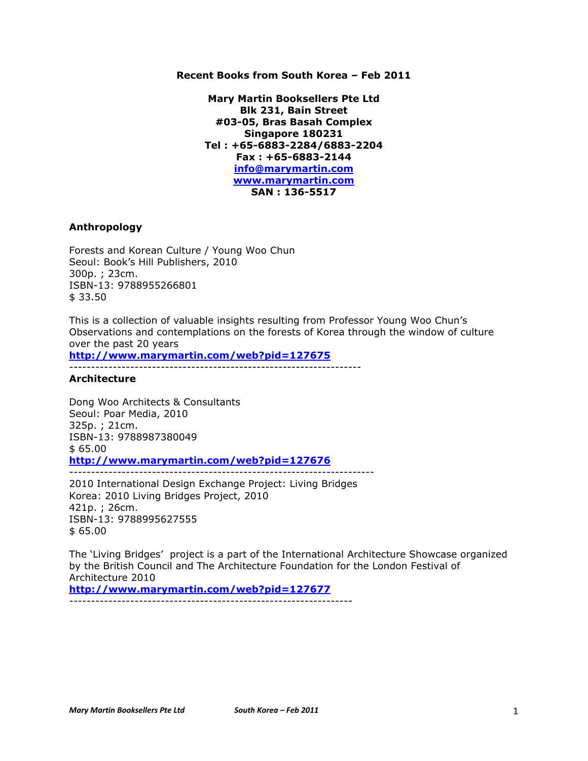## **Recent Books from South Korea – Feb 2011**

**Mary Martin Booksellers Pte Ltd Blk 231, Bain Street #03-05, Bras Basah Complex Singapore 180231 Tel : +65-6883-2284/6883-2204 Fax : +65-6883-2144 info@marymartin.com www.marymartin.com SAN : 136-5517**

## **Anthropology**

Forests and Korean Culture / Young Woo Chun Seoul: Book's Hill Publishers, 2010 300p. ; 23cm. ISBN-13: 9788955266801 \$ 33.50

This is a collection of valuable insights resulting from Professor Young Woo Chun's Observations and contemplations on the forests of Korea through the window of culture over the past 20 years

**http://www.marymartin.com/web?pid=127675**

-------------------------------------------------------------------

## **Architecture**

Dong Woo Architects & Consultants Seoul: Poar Media, 2010 325p. ; 21cm. ISBN-13: 9788987380049 \$ 65.00 **http://www.marymartin.com/web?pid=127676** ----------------------------------------------------------------------

2010 International Design Exchange Project: Living Bridges Korea: 2010 Living Bridges Project, 2010 421p. ; 26cm. ISBN-13: 9788995627555  $$65.00$ 

The 'Living Bridges' project is a part of the International Architecture Showcase organized by the British Council and The Architecture Foundation for the London Festival of Architecture 2010 **http://www.marymartin.com/web?pid=127677**

-----------------------------------------------------------------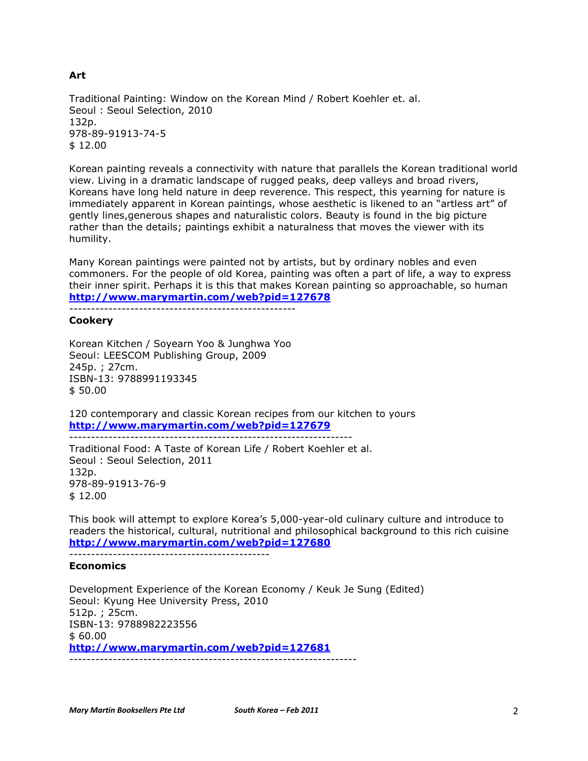Traditional Painting: Window on the Korean Mind / Robert Koehler et. al. Seoul : Seoul Selection, 2010 132p. 978-89-91913-74-5 \$ 12.00

Korean painting reveals a connectivity with nature that parallels the Korean traditional world view. Living in a dramatic landscape of rugged peaks, deep valleys and broad rivers, Koreans have long held nature in deep reverence. This respect, this yearning for nature is immediately apparent in Korean paintings, whose aesthetic is likened to an "artless art" of gently lines,generous shapes and naturalistic colors. Beauty is found in the big picture rather than the details; paintings exhibit a naturalness that moves the viewer with its humility.

Many Korean paintings were painted not by artists, but by ordinary nobles and even commoners. For the people of old Korea, painting was often a part of life, a way to express their inner spirit. Perhaps it is this that makes Korean painting so approachable, so human **http://www.marymartin.com/web?pid=127678**

----------------------------------------------------

### **Cookery**

Korean Kitchen / Soyearn Yoo & Junghwa Yoo Seoul: LEESCOM Publishing Group, 2009 245p. ; 27cm. ISBN-13: 9788991193345 \$ 50.00

120 contemporary and classic Korean recipes from our kitchen to yours **http://www.marymartin.com/web?pid=127679**

----------------------------------------------------------------- Traditional Food: A Taste of Korean Life / Robert Koehler et al. Seoul : Seoul Selection, 2011 132p. 978-89-91913-76-9 \$ 12.00

This book will attempt to explore Korea's 5,000-year-old culinary culture and introduce to readers the historical, cultural, nutritional and philosophical background to this rich cuisine **http://www.marymartin.com/web?pid=127680**

----------------------------------------------

# **Economics**

Development Experience of the Korean Economy / Keuk Je Sung (Edited) Seoul: Kyung Hee University Press, 2010 512p. ; 25cm. ISBN-13: 9788982223556 \$ 60.00 **http://www.marymartin.com/web?pid=127681** ------------------------------------------------------------------

# **Art**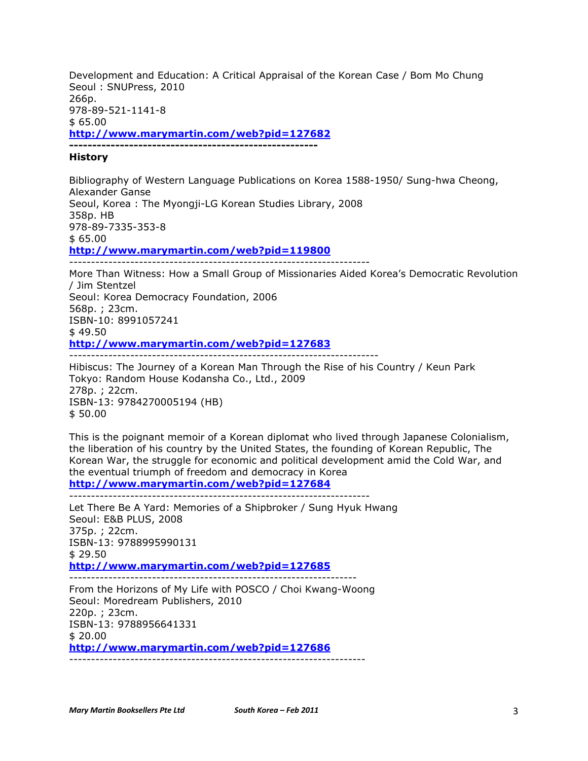Development and Education: A Critical Appraisal of the Korean Case / Bom Mo Chung Seoul : SNUPress, 2010 266p. 978-89-521-1141-8 \$ 65.00 **http://www.marymartin.com/web?pid=127682 ------------------------------------------------------**

## **History**

Bibliography of Western Language Publications on Korea 1588-1950/ Sung-hwa Cheong, Alexander Ganse Seoul, Korea : The Myongji-LG Korean Studies Library, 2008 358p. HB 978-89-7335-353-8  $$65.00$ **http://www.marymartin.com/web?pid=119800** ---------------------------------------------------------------------

More Than Witness: How a Small Group of Missionaries Aided Korea's Democratic Revolution / Jim Stentzel Seoul: Korea Democracy Foundation, 2006 568p. ; 23cm. ISBN-10: 8991057241 \$ 49.50 **http://www.marymartin.com/web?pid=127683** -----------------------------------------------------------------------

Hibiscus: The Journey of a Korean Man Through the Rise of his Country / Keun Park Tokyo: Random House Kodansha Co., Ltd., 2009 278p. ; 22cm. ISBN-13: 9784270005194 (HB) \$ 50.00

This is the poignant memoir of a Korean diplomat who lived through Japanese Colonialism, the liberation of his country by the United States, the founding of Korean Republic, The Korean War, the struggle for economic and political development amid the Cold War, and the eventual triumph of freedom and democracy in Korea

**http://www.marymartin.com/web?pid=127684** ---------------------------------------------------------------------

Let There Be A Yard: Memories of a Shipbroker / Sung Hyuk Hwang Seoul: E&B PLUS, 2008 375p. ; 22cm. ISBN-13: 9788995990131 \$ 29.50 **http://www.marymartin.com/web?pid=127685** ------------------------------------------------------------------ From the Horizons of My Life with POSCO / Choi Kwang-Woong

Seoul: Moredream Publishers, 2010 220p. ; 23cm. ISBN-13: 9788956641331 \$ 20.00 **http://www.marymartin.com/web?pid=127686** --------------------------------------------------------------------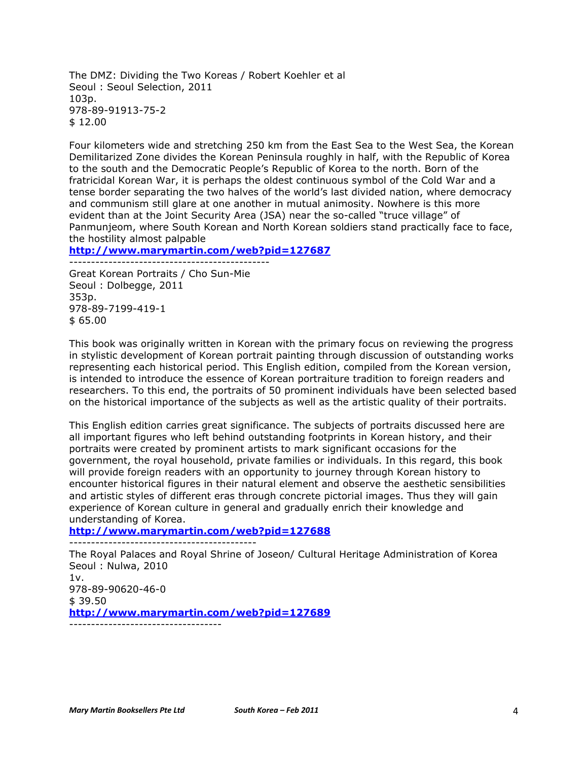The DMZ: Dividing the Two Koreas / Robert Koehler et al Seoul : Seoul Selection, 2011 103p. 978-89-91913-75-2 \$ 12.00

Four kilometers wide and stretching 250 km from the East Sea to the West Sea, the Korean Demilitarized Zone divides the Korean Peninsula roughly in half, with the Republic of Korea to the south and the Democratic People's Republic of Korea to the north. Born of the fratricidal Korean War, it is perhaps the oldest continuous symbol of the Cold War and a tense border separating the two halves of the world's last divided nation, where democracy and communism still glare at one another in mutual animosity. Nowhere is this more evident than at the Joint Security Area (JSA) near the so-called "truce village" of Panmunjeom, where South Korean and North Korean soldiers stand practically face to face, the hostility almost palpable

**http://www.marymartin.com/web?pid=127687**

---------------------------------------------- Great Korean Portraits / Cho Sun-Mie Seoul : Dolbegge, 2011 353p. 978-89-7199-419-1 \$ 65.00

This book was originally written in Korean with the primary focus on reviewing the progress in stylistic development of Korean portrait painting through discussion of outstanding works representing each historical period. This English edition, compiled from the Korean version, is intended to introduce the essence of Korean portraiture tradition to foreign readers and researchers. To this end, the portraits of 50 prominent individuals have been selected based on the historical importance of the subjects as well as the artistic quality of their portraits.

This English edition carries great significance. The subjects of portraits discussed here are all important figures who left behind outstanding footprints in Korean history, and their portraits were created by prominent artists to mark significant occasions for the government, the royal household, private families or individuals. In this regard, this book will provide foreign readers with an opportunity to journey through Korean history to encounter historical figures in their natural element and observe the aesthetic sensibilities and artistic styles of different eras through concrete pictorial images. Thus they will gain experience of Korean culture in general and gradually enrich their knowledge and understanding of Korea.

**http://www.marymartin.com/web?pid=127688**

-------------------------------------------

The Royal Palaces and Royal Shrine of Joseon/ Cultural Heritage Administration of Korea Seoul : Nulwa, 2010  $1v.$ 978-89-90620-46-0  $$39.50$ 

**http://www.marymartin.com/web?pid=127689** -----------------------------------